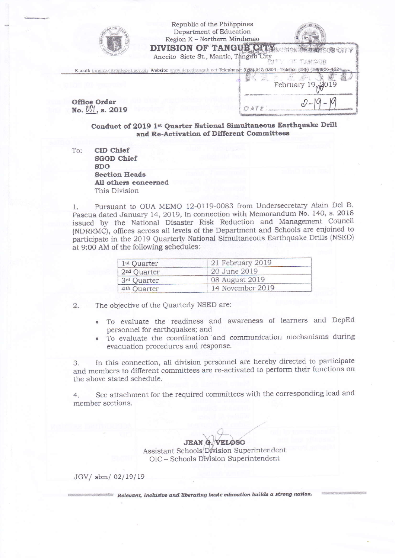

Republic of the Philippines Department of Education Region X - Northern Mindanao



市通りに1段のオン

Anecito Siete St., Mantic, Tangub City E-mail: tangub.city@deped.gov.ph Website: www.depedtangub.net Telephone: (088)-545-0304 (088) (088) 856-4524  $10^{19}$ February 19 **Office Order** 

DATE:

No.  $V1$ , s. 2019

Conduct of 2019 1st Quarter National Simultaneous Earthquake Drill and Re-Activation of Different Committees

CID Chief To: **SGOD Chief SDO Section Heads** All others concerned This Division

Pursuant to OUA MEMO 12-0119-0083 from Undersecretary Alain Del B. 1. Pascua dated January 14, 2019, In connection with Memorandum No. 140, s. 2018 issued by the National Disaster Risk Reduction and Management Council (NDRRMC), offices across all levels of the Department and Schools are enjoined to participate in the 2019 Quarterly National Simultaneous Earthquake Drills (NSED) at 9:00 AM of the following schedules:

| 1 <sup>st</sup> Quarter | 21 February 2019 |  |
|-------------------------|------------------|--|
| $2nd$ Quarter           | 20 June 2019     |  |
| 3rd Quarter             | 08 August 2019   |  |
| 4 <sup>th</sup> Quarter | 14 November 2019 |  |

The objective of the Quarterly NSED are:  $\overline{2}$ .

- To evaluate the readiness and awareness of learners and DepEd personnel for earthquakes; and
- To evaluate the coordination and communication mechanisms during evacuation procedures and response.

In this connection, all division personnel are hereby directed to participate 3. and members to different committees are re-activated to perform their functions on the above stated schedule.

See attachment for the required committees with the corresponding lead and  $4.$ member sections.

> **JEAN G. VELOSO** Assistant Schools Division Superintendent OIC - Schools Division Superintendent

JGV/ abm/ 02/19/19

Relevant, inclusive and liberating basic education builds a strong nation.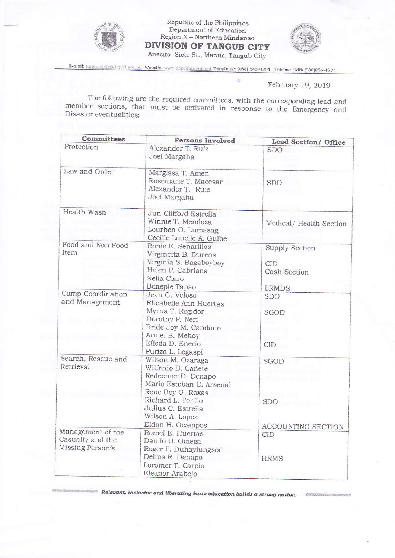

Republic of the Philippines<br>Department of Education Region X - Northern Mindanao **DIVISION OF TANGUB CITY** Anecito Siete St., Mantic, Tangub City



E-mail: tangub.city@deped.gov.ph Website: www.depedtangub.net Telephone: (088) 545-0304 Telefax: (088) (088)856-4524

ö

## February 19, 2019

The following are the required committees, with the corresponding lead and member sections, that must be activated in response to the Emergency and Disaster eventualities:

| Committees                                                | Persons Involved                                                                                                                           | Lead Section/ Office                                |
|-----------------------------------------------------------|--------------------------------------------------------------------------------------------------------------------------------------------|-----------------------------------------------------|
| Protection                                                | Alexander T. Ruiz<br>Joel Margaha                                                                                                          | SDO.                                                |
| Law and Order                                             | Margissa T. Amen<br>Rosemarie T. Macesar<br>Alexander T. Ruiz<br>Joel Margaha                                                              | <b>SDO</b>                                          |
| Health Wash                                               | Jun Clifford Estrella<br>Winnie T. Mendoza<br>Lourben O. Lumasag<br>Cecille Louelle A. Gulbe                                               | Medical/Health Section                              |
| Food and Non Food<br>Item                                 | Ronie E. Senarillos<br>Virgincita B. Durens<br>Virginia S. Bagaboyboy<br>Helen P. Cabriana<br>Nelia Claro                                  | <b>Supply Section</b><br><b>CID</b><br>Cash Section |
| Camp Coordination<br>and Management                       | Benepie Tapao<br>Jean G. Veloso<br>Rheabelle Ann Huertas<br>Myrna T. Regidor<br>Dorothy P. Neri<br>Bride Joy M. Candano<br>Arniel B. Mehoy | <b>LRMDS</b><br>SDO<br>SGOD                         |
|                                                           | Efleda D. Enerio<br>Puriza L. Legaspi                                                                                                      | <b>CID</b>                                          |
| Search, Rescue and<br>Retrieval                           | Wilson M. Ozaraga<br>Wilfredo B. Cañete<br>Redeemer D. Denapo<br>Mario Esteban C. Arsenal<br>Rene Boy G. Roxas<br>Richard L. Torillo       | SGOD<br><b>SDO</b>                                  |
|                                                           | Julius C. Estrella<br>Wilson A. Lopez<br>Eldon H. Ocampos                                                                                  | ACCOUNTING SECTION                                  |
| Management of the<br>Casualty and the<br>Missing Person's | Romel E. Huertas<br>Danilo U. Omega<br>Roger F. Duhaylungsod<br>Delma R. Denapo                                                            | CID<br><b>HRMS</b>                                  |
|                                                           | Loromer T. Carpio<br>Eleanor Arabejo                                                                                                       |                                                     |

Relevant, inclusive and liberating basic education builds a strong nation.